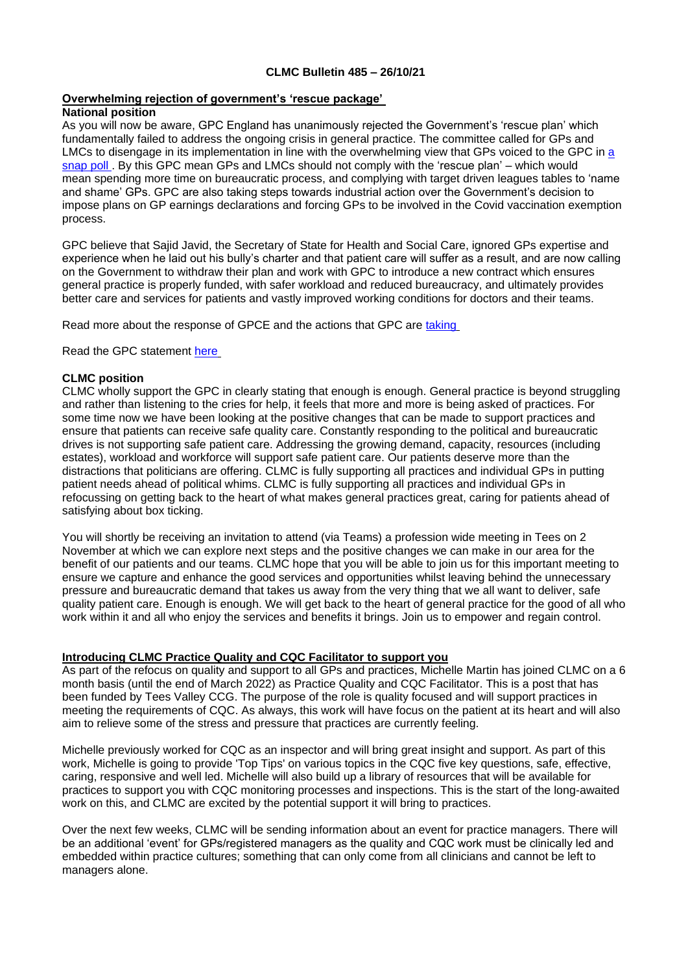### **CLMC Bulletin 485 – 26/10/21**

#### **Overwhelming rejection of government's 'rescue package' National position**

As you will now be aware, GPC England has unanimously rejected the Government's 'rescue plan' which fundamentally failed to address the ongoing crisis in general practice. The committee called for GPs and LMCs to disengage in its implementation in line with the overwhelming view that GPs voiced to the GPC in a [snap poll .](https://bma-mail.org.uk/t/JVX-7L14F-JCJOU4-4LIGNW-1/c.aspx) By this GPC mean GPs and LMCs should not comply with the 'rescue plan' – which would mean spending more time on bureaucratic process, and complying with target driven leagues tables to 'name and shame' GPs. GPC are also taking steps towards industrial action over the Government's decision to impose plans on GP earnings declarations and forcing GPs to be involved in the Covid vaccination exemption process.

GPC believe that Sajid Javid, the Secretary of State for Health and Social Care, ignored GPs expertise and experience when he laid out his bully's charter and that patient care will suffer as a result, and are now calling on the Government to withdraw their plan and work with GPC to introduce a new contract which ensures general practice is properly funded, with safer workload and reduced bureaucracy, and ultimately provides better care and services for patients and vastly improved working conditions for doctors and their teams.

Read more about the response of GPCE and the actions that GPC are [taking](https://bma-mail.org.uk/t/JVX-7L771-EC5E0CEA0D8A5317JCJOU4BA186991484320BE/cr.aspx)

Read the GPC statement [here](https://www.bma.org.uk/bma-media-centre/bma-s-england-gp-committee-rejects-government-s-rescue-package-and-moves-towards-a-ballot-on-industrial-action)

# **CLMC position**

CLMC wholly support the GPC in clearly stating that enough is enough. General practice is beyond struggling and rather than listening to the cries for help, it feels that more and more is being asked of practices. For some time now we have been looking at the positive changes that can be made to support practices and ensure that patients can receive safe quality care. Constantly responding to the political and bureaucratic drives is not supporting safe patient care. Addressing the growing demand, capacity, resources (including estates), workload and workforce will support safe patient care. Our patients deserve more than the distractions that politicians are offering. CLMC is fully supporting all practices and individual GPs in putting patient needs ahead of political whims. CLMC is fully supporting all practices and individual GPs in refocussing on getting back to the heart of what makes general practices great, caring for patients ahead of satisfying about box ticking.

You will shortly be receiving an invitation to attend (via Teams) a profession wide meeting in Tees on 2 November at which we can explore next steps and the positive changes we can make in our area for the benefit of our patients and our teams. CLMC hope that you will be able to join us for this important meeting to ensure we capture and enhance the good services and opportunities whilst leaving behind the unnecessary pressure and bureaucratic demand that takes us away from the very thing that we all want to deliver, safe quality patient care. Enough is enough. We will get back to the heart of general practice for the good of all who work within it and all who enjoy the services and benefits it brings. Join us to empower and regain control.

# **Introducing CLMC Practice Quality and CQC Facilitator to support you**

As part of the refocus on quality and support to all GPs and practices, Michelle Martin has joined CLMC on a 6 month basis (until the end of March 2022) as Practice Quality and CQC Facilitator. This is a post that has been funded by Tees Valley CCG. The purpose of the role is quality focused and will support practices in meeting the requirements of CQC. As always, this work will have focus on the patient at its heart and will also aim to relieve some of the stress and pressure that practices are currently feeling.

Michelle previously worked for CQC as an inspector and will bring great insight and support. As part of this work, Michelle is going to provide 'Top Tips' on various topics in the CQC five key questions, safe, effective, caring, responsive and well led. Michelle will also build up a library of resources that will be available for practices to support you with CQC monitoring processes and inspections. This is the start of the long-awaited work on this, and CLMC are excited by the potential support it will bring to practices.

Over the next few weeks, CLMC will be sending information about an event for practice managers. There will be an additional 'event' for GPs/registered managers as the quality and CQC work must be clinically led and embedded within practice cultures; something that can only come from all clinicians and cannot be left to managers alone.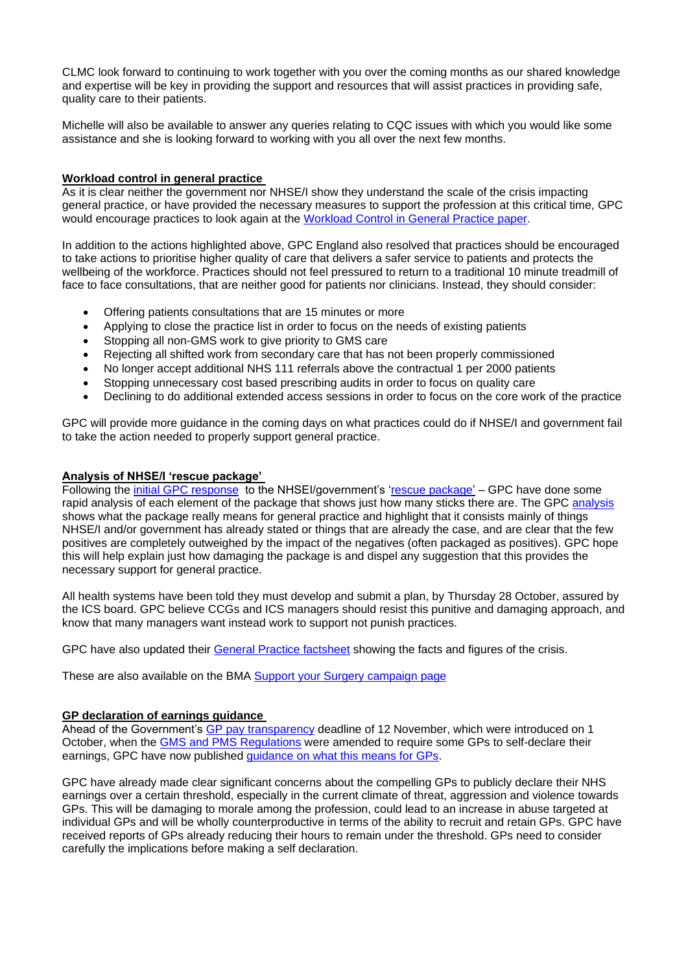CLMC look forward to continuing to work together with you over the coming months as our shared knowledge and expertise will be key in providing the support and resources that will assist practices in providing safe, quality care to their patients.

Michelle will also be available to answer any queries relating to CQC issues with which you would like some assistance and she is looking forward to working with you all over the next few months.

### **Workload control in general practice**

As it is clear neither the government nor NHSE/I show they understand the scale of the crisis impacting general practice, or have provided the necessary measures to support the profession at this critical time, GPC would encourage practices to look again at the [Workload Control in General Practice paper.](https://www.bma.org.uk/media/1145/workload-control-general-practice-mar2018-1.pdf)

In addition to the actions highlighted above, GPC England also resolved that practices should be encouraged to take actions to prioritise higher quality of care that delivers a safer service to patients and protects the wellbeing of the workforce. Practices should not feel pressured to return to a traditional 10 minute treadmill of face to face consultations, that are neither good for patients nor clinicians. Instead, they should consider:

- Offering patients consultations that are 15 minutes or more
- Applying to close the practice list in order to focus on the needs of existing patients
- Stopping all non-GMS work to give priority to GMS care
- Rejecting all shifted work from secondary care that has not been properly commissioned
- No longer accept additional NHS 111 referrals above the contractual 1 per 2000 patients
- Stopping unnecessary cost based prescribing audits in order to focus on quality care
- Declining to do additional extended access sessions in order to focus on the core work of the practice

GPC will provide more guidance in the coming days on what practices could do if NHSE/I and government fail to take the action needed to properly support general practice.

#### **Analysis of NHSE/I 'rescue package'**

Following the *initial GPC response* to the NHSEI/government's ['rescue package'](https://www.england.nhs.uk/coronavirus/publication/our-plan-for-improving-access-for-patients-and-supporting-general-practice/) – GPC have done some rapid [analysis](https://www.bma.org.uk/media/4702/bma-analysis-of-nhsei-package-for-general-practice-oct21.pdf) of each element of the package that shows just how many sticks there are. The GPC analysis shows what the package really means for general practice and highlight that it consists mainly of things NHSE/I and/or government has already stated or things that are already the case, and are clear that the few positives are completely outweighed by the impact of the negatives (often packaged as positives). GPC hope this will help explain just how damaging the package is and dispel any suggestion that this provides the necessary support for general practice.

All health systems have been told they must develop and submit a plan, by Thursday 28 October, assured by the ICS board. GPC believe CCGs and ICS managers should resist this punitive and damaging approach, and know that many managers want instead work to support not punish practices.

GPC have also updated their [General Practice factsheet](https://www.bma.org.uk/media/4704/bma-nhsei-package-for-general-practice-factsheet-oct-21.pdf) showing the facts and figures of the crisis.

These are also available on the BMA [Support your Surgery campaign page](https://www.bma.org.uk/advice-and-support/covid-19/gp-practices/support-your-surgery)

#### **GP declaration of earnings guidance**

Ahead of the Government's [GP pay transparency](https://www.england.nhs.uk/wp-content/uploads/2021/10/B0939-general-practice-pay-transparency-guidance-v1.pdf) deadline of 12 November, which were introduced on 1 October, when the [GMS and PMS Regulations](https://www.legislation.gov.uk/uksi/2021/995/contents/made) were amended to require some GPs to self-declare their earnings, GPC have now published [guidance on what this means for GPs.](https://www.bma.org.uk/pay-and-contracts/pay/other-doctors-pay/declaring-gp-earnings-over-150-000)

GPC have already made clear significant concerns about the compelling GPs to publicly declare their NHS earnings over a certain threshold, especially in the current climate of threat, aggression and violence towards GPs. This will be damaging to morale among the profession, could lead to an increase in abuse targeted at individual GPs and will be wholly counterproductive in terms of the ability to recruit and retain GPs. GPC have received reports of GPs already reducing their hours to remain under the threshold. GPs need to consider carefully the implications before making a self declaration.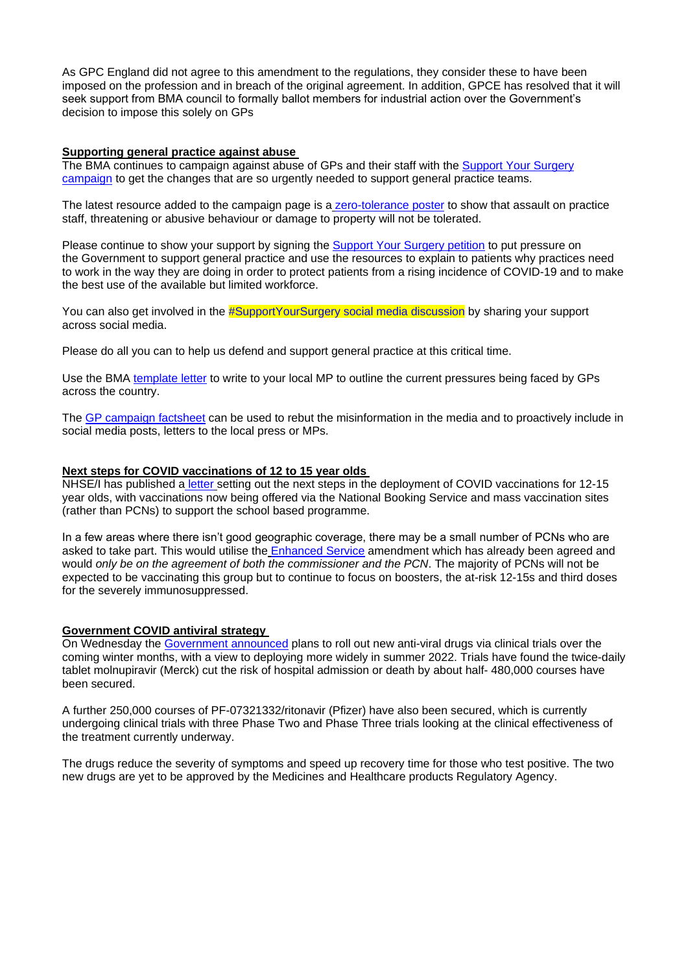As GPC England did not agree to this amendment to the regulations, they consider these to have been imposed on the profession and in breach of the original agreement. In addition, GPCE has resolved that it will seek support from BMA council to formally ballot members for industrial action over the Government's decision to impose this solely on GPs

### **Supporting general practice against abuse**

The BMA continues to campaign against abuse of GPs and their staff with the [Support Your Surgery](https://www.bma.org.uk/advice-and-support/covid-19/gp-practices/support-your-surgery)  [campaign](https://www.bma.org.uk/advice-and-support/covid-19/gp-practices/support-your-surgery) to get the changes that are so urgently needed to support general practice teams.

The latest resource added to the campaign page is a [zero-tolerance poster](https://www.bma.org.uk/media/4667/bma-gp-abuse-poster-full-colour-oct21.pdf) to show that assault on practice staff, threatening or abusive behaviour or damage to property will not be tolerated.

Please continue to show your support by signing the **Support Your Surgery petition** to put pressure on the Government to support general practice and use the resources to explain to patients why practices need to work in the way they are doing in order to protect patients from a rising incidence of COVID-19 and to make the best use of the available but limited workforce.

You can also get involved in the [#SupportYourSurgery social media discussion](https://twitter.com/hashtag/SupportYourSurgery?src=hashtag) by sharing your support across social media.

Please do all you can to help us defend and support general practice at this critical time.

Use the BMA [template letter](https://bma-mail.org.uk/t/JVX-7JQ76-JCJOU4-4KLUIY-1/c.aspx) to write to your local MP to outline the current pressures being faced by GPs across the country.

The [GP campaign factsheet](https://www.bma.org.uk/media/4643/bma-gp-campaign-factsheet-sept-2021.pdf) can be used to rebut the misinformation in the media and to proactively include in social media posts, letters to the local press or MPs.

#### **Next steps for COVID vaccinations of 12 to 15 year olds**

NHSE/I has published a [letter](https://www.england.nhs.uk/coronavirus/publication/covid-19-vaccination-deployment-next-steps-for-12-to-15-year-old-vaccination/) setting out the next steps in the deployment of COVID vaccinations for 12-15 year olds, with vaccinations now being offered via the National Booking Service and mass vaccination sites (rather than PCNs) to support the school based programme.

In a few areas where there isn't good geographic coverage, there may be a small number of PCNs who are asked to take part. This would utilise the [Enhanced Service](https://www.england.nhs.uk/coronavirus/publication/enhanced-service-specification-phase-3-coronavirus-vaccination/) amendment which has already been agreed and would *only be on the agreement of both the commissioner and the PCN*. The majority of PCNs will not be expected to be vaccinating this group but to continue to focus on boosters, the at-risk 12-15s and third doses for the severely immunosuppressed.

# **Government COVID antiviral strategy**

On Wednesday the [Government announced](https://www.gov.uk/government/news/government-launches-covid-19-antivirals-taskforce-to-roll-out-innovative-home-treatments-this-autumn) plans to roll out new anti-viral drugs via clinical trials over the coming winter months, with a view to deploying more widely in summer 2022. Trials have found the twice-daily tablet molnupiravir (Merck) cut the risk of hospital admission or death by about half- 480,000 courses have been secured.

A further 250,000 courses of PF-07321332/ritonavir (Pfizer) have also been secured, which is currently undergoing clinical trials with three Phase Two and Phase Three trials looking at the clinical effectiveness of the treatment currently underway.

The drugs reduce the severity of symptoms and speed up recovery time for those who test positive. The two new drugs are yet to be approved by the Medicines and Healthcare products Regulatory Agency.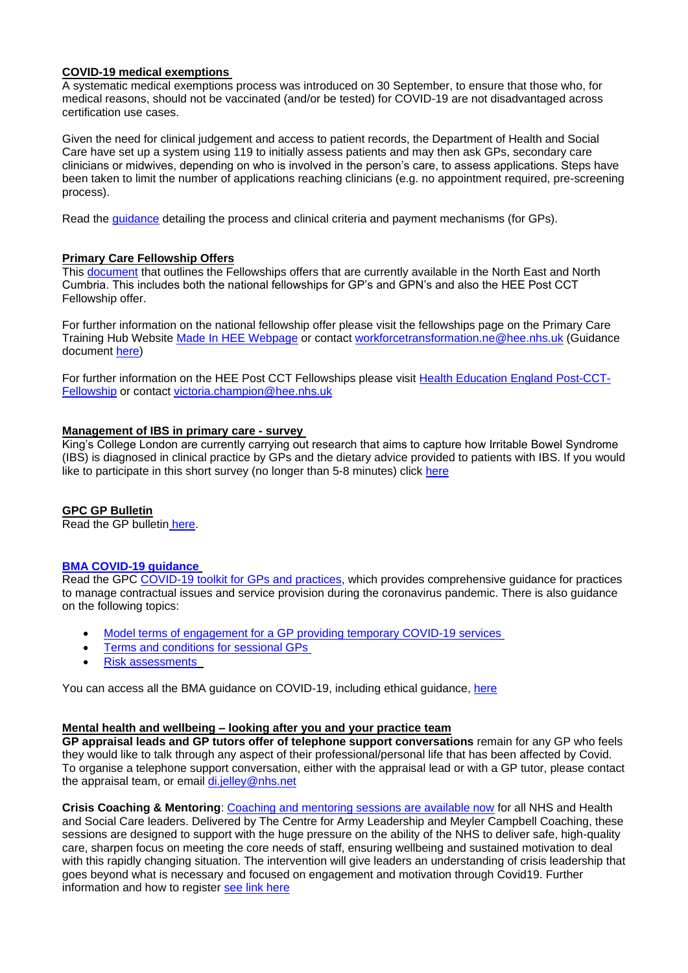# **COVID-19 medical exemptions**

A systematic medical exemptions process was introduced on 30 September, to ensure that those who, for medical reasons, should not be vaccinated (and/or be tested) for COVID-19 are not disadvantaged across certification use cases.

Given the need for clinical judgement and access to patient records, the Department of Health and Social Care have set up a system using 119 to initially assess patients and may then ask GPs, secondary care clinicians or midwives, depending on who is involved in the person's care, to assess applications. Steps have been taken to limit the number of applications reaching clinicians (e.g. no appointment required, pre-screening process).

Read the [guidance](https://digital.nhs.uk/services/summary-care-record-application/covid-pass-medical-exemption) detailing the process and clinical criteria and payment mechanisms (for GPs).

### **Primary Care Fellowship Offers**

This [document](https://www.clevelandlmc.org.uk/website/IGP367/files/1.pdf) that outlines the Fellowships offers that are currently available in the North East and North Cumbria. This includes both the national fellowships for GP's and GPN's and also the HEE Post CCT Fellowship offer.

For further information on the national fellowship offer please visit the fellowships page on the Primary Care Training Hub Website [Made In HEE Webpage](https://madeinheene.hee.nhs.uk/general_practice/Primary-Care-Training-Hub/GP-GPN-Fellowship-Toolkit-and-Application-Process) or contact [workforcetransformation.ne@hee.nhs.uk](mailto:workforcetransformation.ne@hee.nhs.uk) (Guidance document [here\)](https://www.clevelandlmc.org.uk/website/IGP367/files/North%20East%20and%20North%20Cumbria%20Fellowship%20Operational%20Guidance%20v2.pdf)

For further information on the HEE Post CCT Fellowships please visit [Health Education England Post-CCT-](https://madeinheene.hee.nhs.uk/general_practice/Continuing-Practice/Post-CCT-Fellowship)[Fellowship](https://madeinheene.hee.nhs.uk/general_practice/Continuing-Practice/Post-CCT-Fellowship) or contact [victoria.champion@hee.nhs.uk](mailto:victoria.champion@hee.nhs.uk)

### **Management of IBS in primary care - survey**

King's College London are currently carrying out research that aims to capture how Irritable Bowel Syndrome (IBS) is diagnosed in clinical practice by GPs and the dietary advice provided to patients with IBS. If you would like to participate in this short survey (no longer than 5-8 minutes) click [here](https://kclbs.eu.qualtrics.com/jfe/form/SV_bxRJNZtEShrLtZ3)

#### **GPC GP Bulletin**

Read the GP bulletin [here.](https://bma-mail.org.uk/t/JVX-7L3DW-EC5E0CEA0D8A5317JCJOU4BA186991484320BE/cr.aspx)

### **[BMA COVID-19 guidance](https://www.bma.org.uk/advice-and-support/covid-19)**

Read the GPC [COVID-19 toolkit for GPs and practices,](https://www.bma.org.uk/advice-and-support/covid-19/practical-guidance/covid-19-toolkit-for-gps-and-gp-practices) which provides comprehensive guidance for practices to manage contractual issues and service provision during the coronavirus pandemic. There is also guidance on the following topics:

- [Model terms of engagement for a GP providing](https://www.bma.org.uk/advice-and-support/covid-19/your-contract/covid-19-model-terms-for-gps) temporary COVID-19 services
- [Terms and conditions for sessional GPs](https://www.bma.org.uk/advice-and-support/covid-19/your-contract/covid-19-your-terms-and-conditions/your-terms-and-conditions-sessional-gps)
- [Risk assessments](https://www.bma.org.uk/advice-and-support/covid-19/your-health/covid-19-risk-assessment)

You can access all the BMA guidance on COVID-19, including ethical guidance, [here](https://www.bma.org.uk/advice-and-support/covid-19)

### **Mental health and wellbeing – looking after you and your practice team**

**GP appraisal leads and GP tutors offer of telephone support conversations** remain for any GP who feels they would like to talk through any aspect of their professional/personal life that has been affected by Covid. To organise a telephone support conversation, either with the appraisal lead or with a GP tutor, please contact the appraisal team, or email [di.jelley@nhs.net](mailto:di.jelley@nhs.net)

**Crisis Coaching & Mentoring**: [Coaching and mentoring sessions are available now](https://people.nhs.uk/support-for-leaders/coaching-and-mentoring-for-leaders/) for all NHS and Health and Social Care leaders. Delivered by The Centre for Army Leadership and Meyler Campbell Coaching, these sessions are designed to support with the huge pressure on the ability of the NHS to deliver safe, high-quality care, sharpen focus on meeting the core needs of staff, ensuring wellbeing and sustained motivation to deal with this rapidly changing situation. The intervention will give leaders an understanding of crisis leadership that goes beyond what is necessary and focused on engagement and motivation through Covid19. Further information and how to register [see link here](https://people.nhs.uk/support-for-leaders/coaching-and-mentoring-for-leaders/)